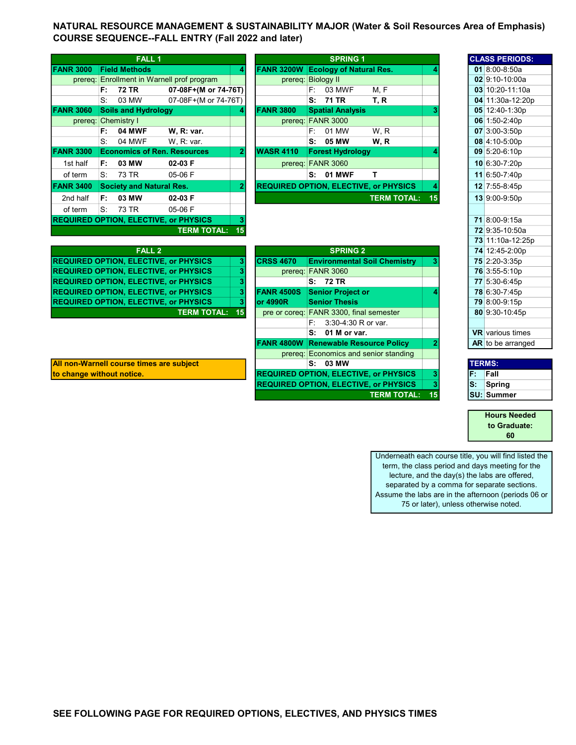NATURAL RESOURCE MANAGEMENT & SUSTAINABILITY MAJOR (Water & Soil Resources Area of Emphasis) COURSE SEQUENCE--FALL ENTRY (Fall 2022 and later)

|                  |      | <b>FALL 1</b>                                |                                            |                |                                              |    | <b>SPRING 1</b>                |                    |    | <b>CLASS PERIOI</b> |
|------------------|------|----------------------------------------------|--------------------------------------------|----------------|----------------------------------------------|----|--------------------------------|--------------------|----|---------------------|
| <b>FANR 3000</b> |      | <b>Field Methods</b>                         |                                            | 4              | <b>FANR 3200W</b>                            |    | <b>Ecology of Natural Res.</b> |                    |    | 01 8:00-8:50a       |
|                  |      |                                              | prereg: Enrollment in Warnell prof program |                | prereg: Biology II                           |    |                                |                    |    | $02$ 9:10-10:00     |
|                  | F:   | 72 TR                                        | 07-08F+(M or 74-76T)                       |                |                                              |    | F: 03 MWF                      | M, F               |    | 03 10:20-11:1       |
|                  | S:   | 03 MW                                        | 07-08F+(M or 74-76T)                       |                |                                              | s: | 71 TR                          | T, R               |    | 04 11:30a-12:       |
| <b>FANR 3060</b> |      | <b>Soils and Hydrology</b>                   |                                            | 4              | <b>FANR 3800</b>                             |    | <b>Spatial Analysis</b>        |                    |    | 05 12:40-1:30       |
|                  |      | prereq: Chemistry I                          |                                            |                |                                              |    | prereq: FANR 3000              |                    |    | 06 1:50-2:40p       |
|                  | F:   | <b>04 MWF</b>                                | W, R: var.                                 |                |                                              | F: | 01 MW                          | W.R                |    | 07 3:00-3:50p       |
|                  | S.   | 04 MWF                                       | W, R: var.                                 |                |                                              |    | S: 05 MW                       | W.R                |    | 08 4:10-5:00p       |
| <b>FANR 3300</b> |      | <b>Economics of Ren. Resources</b>           |                                            | 2              | <b>WASR 4110</b>                             |    | <b>Forest Hydrology</b>        |                    |    | 09 5:20-6:10p       |
| 1st half         | F:   | 03 MW                                        | 02-03 F                                    |                |                                              |    | prereq: FANR 3060              |                    |    | 10 6:30-7:20p       |
| of term          | S.   | 73 TR                                        | 05-06 F                                    |                |                                              |    | <b>S: 01 MWF</b>               | т                  |    | 11 6:50-7:40p       |
| <b>FANR 3400</b> |      | <b>Society and Natural Res.</b>              |                                            | $\overline{2}$ | <b>REQUIRED OPTION, ELECTIVE, or PHYSICS</b> |    |                                |                    |    | 12 7:55-8:45p       |
| 2nd half         | F: I | 03 MW                                        | 02-03 F                                    |                |                                              |    |                                | <b>TERM TOTAL:</b> | 15 | 13 9:00-9:50p       |
| of term          | S.   | 73 TR                                        | 05-06 F                                    |                |                                              |    |                                |                    |    |                     |
|                  |      | <b>REQUIRED OPTION, ELECTIVE, or PHYSICS</b> |                                            | 3              |                                              |    |                                |                    |    | 71 8:00-9:15a       |
|                  |      |                                              | <b>TERM TOTAL:</b>                         | 15             |                                              |    |                                |                    |    | 72 9:35-10:50       |

|                |                                 | <b>FALL 1</b>                              |              |                   | <b>SPRING 1</b>                |                                              |    | <b>CLASS PERIODS</b>    |
|----------------|---------------------------------|--------------------------------------------|--------------|-------------------|--------------------------------|----------------------------------------------|----|-------------------------|
|                |                                 |                                            |              |                   |                                |                                              |    |                         |
| <b>NR 3000</b> | <b>Field Methods</b>            |                                            | 4            | <b>FANR 3200W</b> | <b>Ecology of Natural Res.</b> |                                              |    | 01 8:00-8:50a           |
|                |                                 | prereg: Enrollment in Warnell prof program |              |                   | prereg: Biology II             |                                              |    | $02$ 9:10-10:00a        |
|                | F: 72 TR                        | 07-08F+(M or 74-76T)                       |              |                   | $F: 03$ MWF                    | M, F                                         |    | 03 10:20-11:10          |
|                | $S^{\cdot}$<br>03 MW            | 07-08F+(M or 74-76T)                       |              |                   | S: 71 TR                       | T. R                                         |    | 04 11:30a-12:2          |
| NR 3060        | <b>Soils and Hydrology</b>      |                                            | 41           | <b>FANR 3800</b>  | <b>Spatial Analysis</b>        |                                              |    | 05 12:40-1:30p          |
|                | prereq: Chemistry I             |                                            |              |                   | prereq: FANR 3000              |                                              |    | 06 1:50-2:40p           |
|                | <b>04 MWF</b><br>F:             | W. R: var.                                 |              |                   | 01 MW<br>F: I                  | W.R                                          |    | $07$ 3:00-3:50p         |
|                | S:<br>04 MWF                    | W. R. var.                                 |              |                   | S: 05 MW                       | W, R                                         |    | $08 \vert 4:10 - 5:00p$ |
| <b>NR 3300</b> |                                 | <b>Economics of Ren. Resources</b>         |              | <b>WASR 4110</b>  | <b>Forest Hydrology</b>        |                                              |    | $09 5:20-6:10p$         |
| 1st half       | 03 MW<br>F.                     | 02-03 F                                    |              |                   | prereq: FANR 3060              |                                              |    | 10 6:30-7:20p           |
| of term        | S: 73 TR                        | 05-06 F                                    |              |                   | <b>S: 01 MWF</b>               |                                              |    | 11 6:50-7:40p           |
| <b>NR 3400</b> | <b>Society and Natural Res.</b> |                                            | $\mathbf{2}$ |                   |                                | <b>REQUIRED OPTION, ELECTIVE, or PHYSICS</b> | 4  | 12 7:55-8:45p           |
| 2nd half       | 03 MW<br>F.                     | 02-03 F                                    |              |                   |                                | <b>TERM TOTAL:</b>                           | 15 | 13 9:00-9:50p           |
| $\sim$ $\sim$  | $\sim$<br>$\sim$ $\sim$         | $- - - - -$                                |              |                   |                                |                                              |    |                         |

|                                              |    |                   |                                              |    |     | 73 TE 10a-12.2         |
|----------------------------------------------|----|-------------------|----------------------------------------------|----|-----|------------------------|
| <b>FALL 2</b>                                |    |                   | <b>SPRING 2</b>                              |    |     | 74 12:45-2:00p         |
| <b>REQUIRED OPTION, ELECTIVE, or PHYSICS</b> | 31 | <b>CRSS 4670</b>  | <b>Environmental Soil Chemistry</b>          | з  |     | 75 2:20-3:35p          |
| <b>REQUIRED OPTION, ELECTIVE, or PHYSICS</b> |    |                   | prereq: FANR 3060                            |    |     | 76 3:55-5:10p          |
| <b>REQUIRED OPTION, ELECTIVE, or PHYSICS</b> |    |                   | S: 72 TR                                     |    |     | 77 5:30-6:45p          |
| <b>REQUIRED OPTION, ELECTIVE, or PHYSICS</b> |    | <b>FANR 4500S</b> | <b>Senior Project or</b>                     |    |     | 78 6:30-7:45p          |
| <b>REQUIRED OPTION, ELECTIVE, or PHYSICS</b> |    | lor 4990R         | <b>Senior Thesis</b>                         |    |     | 79 8:00-9:15p          |
| <b>TERM TOTAL:</b>                           | 15 |                   | pre or coreq: FANR 3300, final semester      |    |     | 80 9:30-10:45p         |
|                                              |    |                   | 3:30-4:30 R or var.<br>F:                    |    |     |                        |
|                                              |    |                   | 01 M or var.<br>S:                           |    |     | <b>VR</b> various time |
|                                              |    |                   | <b>FANR 4800W Renewable Resource Policy</b>  |    |     | AR to be arrange       |
|                                              |    |                   | prereg: Economics and senior standing        |    |     |                        |
| All non-Warnell course times are subject     |    |                   | S: 03 MW                                     |    |     | <b>TERMS:</b>          |
| to change without notice.                    |    |                   | <b>REQUIRED OPTION, ELECTIVE, or PHYSICS</b> | 3  | IF. | Fall                   |
|                                              |    |                   | <b>REQUIRED OPTION, ELECTIVE, or PHYSICS</b> | 3  | IS: | Spring                 |
|                                              |    |                   | <b>TERM TOTAL:</b>                           | 15 |     | <b>SU: Summer</b>      |

| All non-Warnell course times are subject |
|------------------------------------------|
| ta ahanaa withaut nation                 |

Underneath each course title, you will find listed the term, the class period and days meeting for the lecture, and the day(s) the labs are offered, separated by a comma for separate sections.

CLASS PERIODS:

**03** 10:20-11:10a 04 11:30a-12:20p 05 12:40-1:30p

72 9:35-10:50a 73 11:10a-12:25p 74 12:45-2:00p

VR various times AR to be arranged

to Graduate:

60

Hours Needed

Assume the labs are in the afternoon (periods 06 or 75 or later), unless otherwise noted.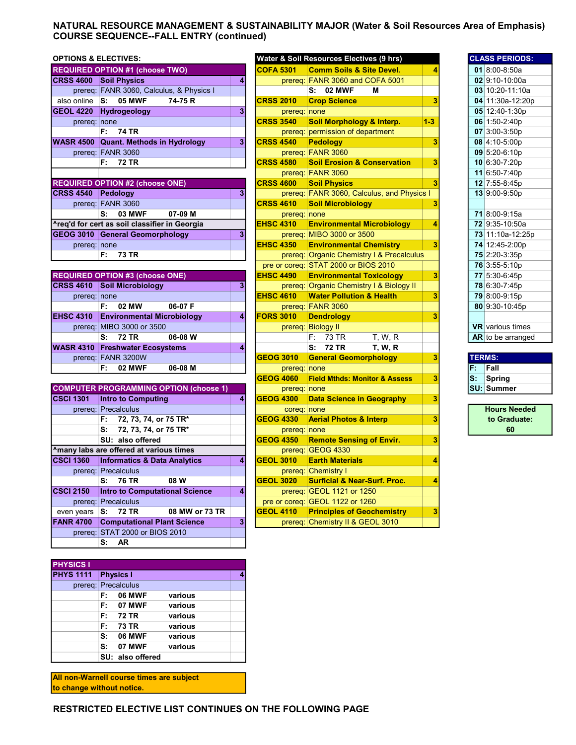## NATURAL RESOURCE MANAGEMENT & SUSTAINABILITY MAJOR (Water & Soil Resources Area of Emphasis) COURSE SEQUENCE--FALL ENTRY (continued)

| <b>OPTIONS &amp; ELECTIVES:</b> |                                          |    | Water & Soil Resources Electives (9 hrs) | <b>CLASS PERIODS</b>                       |       |  |                 |
|---------------------------------|------------------------------------------|----|------------------------------------------|--------------------------------------------|-------|--|-----------------|
|                                 | <b>REQUIRED OPTION #1 (choose TWO)</b>   |    | <b>COFA 5301</b>                         | <b>Comm Soils &amp; Site Devel.</b>        |       |  | 01 8:00-8:50a   |
| <b>CRSS 4600</b>                | <b>Soil Physics</b>                      |    |                                          | prereq: FANR 3060 and COFA 5001            |       |  | 02 9:10-10:00a  |
|                                 | prereq: FANR 3060, Calculus, & Physics I |    |                                          | S: 02 MWF<br>м                             |       |  | 03 10:20-11:10  |
| also online                     | 05 MWF<br>lS:<br>74-75 R                 |    | <b>CRSS 2010</b>                         | <b>Crop Science</b>                        |       |  | 04 11:30a-12:2  |
| <b>GEOL 4220</b>                | <b>Hydrogeology</b>                      |    | prereq: none                             |                                            |       |  | 05 12:40-1:30p  |
| prereq: none                    |                                          |    | <b>CRSS 3540</b>                         | Soil Morphology & Interp.                  | $1-3$ |  | 06 1:50-2:40p   |
|                                 | <b>74 TR</b><br>F:                       |    |                                          | prereg: permission of department           |       |  | $07$ 3:00-3:50p |
| <b>WASR 4500</b>                | <b>Quant. Methods in Hydrology</b>       | 3  | <b>CRSS 4540</b>                         | <b>Pedology</b>                            |       |  | $08$ 4:10-5:00p |
|                                 | prereq: FANR 3060                        |    |                                          | prereq: FANR 3060                          |       |  | 09 5:20-6:10p   |
|                                 | 72 TR<br>F:                              |    | <b>CRSS 4580</b>                         | <b>Soil Erosion &amp; Conservation</b>     |       |  | 10 6:30-7:20p   |
|                                 |                                          |    |                                          | prereq: FANR 3060                          |       |  | 11 6:50-7:40p   |
|                                 | <b>REQUIRED OPTION #2 (choose ONE)</b>   |    | <b>CRSS 4600</b>                         | <b>Soil Physics</b>                        |       |  | 12 7:55-8:45p   |
| <b>CRSS 4540</b>                | Pedoloav                                 | 31 |                                          | prereq: FANR 3060, Calculus, and Physics I |       |  | 13 9:00-9:50p   |

|                                               |  | prereq: FANR 3060                      |                   |  |  |  |  |  |  |  |
|-----------------------------------------------|--|----------------------------------------|-------------------|--|--|--|--|--|--|--|
|                                               |  |                                        | S: 03 MWF 07-09 M |  |  |  |  |  |  |  |
| ^req'd for cert as soil classifier in Georgia |  |                                        |                   |  |  |  |  |  |  |  |
|                                               |  | <b>GEOG 3010 General Geomorphology</b> |                   |  |  |  |  |  |  |  |
| prereq: none                                  |  |                                        |                   |  |  |  |  |  |  |  |
|                                               |  | F: 73 TR                               |                   |  |  |  |  |  |  |  |

|                  | <b>REQUIRED OPTION #3 (choose ONE)</b> |         | IEHSC 4490       | <b>Environmental Toxicology</b>          |  | 77 5:30-6:45p         |
|------------------|----------------------------------------|---------|------------------|------------------------------------------|--|-----------------------|
|                  | <b>CRSS 4610 Soil Microbiology</b>     | 31      |                  | prereg: Organic Chemistry I & Biology II |  | 78 6:30-7:45p         |
| prereg: none     |                                        |         | <b>EHSC 4610</b> | <b>Water Pollution &amp; Health</b>      |  | 79 8:00-9:15p         |
|                  | 06-07 F<br>F: I<br>02 MW               |         |                  | prereg: FANR 3060                        |  | 80 9:30-10:45         |
| <b>EHSC 4310</b> | <b>Environmental Microbiology</b>      | $\vert$ | <b>FORS 3010</b> | <b>Dendrology</b>                        |  |                       |
|                  | prereq: MIBO 3000 or 3500              |         |                  | prereg: Biology II                       |  | <b>VR</b> various tim |
|                  | S: 72 TR<br>06-08 W                    |         |                  | F: 73 TR<br><b>T. W. R</b>               |  | <b>AR</b> to be arran |
|                  | <b>WASR 4310 Freshwater Ecosystems</b> | 4       |                  | S: 72 TR<br><b>T. W. R</b>               |  |                       |
|                  | prereg: FANR 3200W                     |         | <b>GEOG 3010</b> | <b>General Geomorphology</b>             |  | <b>TERMS:</b>         |
|                  | <b>02 MWF</b><br>06-08 M<br>F:         |         | prereq: none     |                                          |  | IF: Fall              |

| <b>COMPUTER PROGRAMMING OPTION (choose 1)</b><br>prereq: none<br><b>Intro to Computing</b><br>3<br><b>GEOG 4300</b><br><b>Data Science in Geography</b><br>41<br>prereq: Precalculus<br>coreq: none<br><b>GEOG 4330 Aerial Photos &amp; Interp</b><br>72, 73, 74, or 75 TR* | <b>SU: Summer</b><br><b>Hours Ne</b> |
|-----------------------------------------------------------------------------------------------------------------------------------------------------------------------------------------------------------------------------------------------------------------------------|--------------------------------------|
|                                                                                                                                                                                                                                                                             |                                      |
|                                                                                                                                                                                                                                                                             |                                      |
|                                                                                                                                                                                                                                                                             |                                      |
|                                                                                                                                                                                                                                                                             | to Gradu                             |
| 72, 73, 74, or 75 TR*<br>prereq: none                                                                                                                                                                                                                                       | 60                                   |
| SU: also offered<br><b>GEOG 4350</b><br><b>Remote Sensing of Envir.</b>                                                                                                                                                                                                     |                                      |
| Amany labs are offered at various times<br>prereq: GEOG 4330                                                                                                                                                                                                                |                                      |
| $GEOL$ 3010<br><b>Informatics &amp; Data Analytics</b><br><b>Earth Materials</b><br>4                                                                                                                                                                                       |                                      |
| prereg: Precalculus<br>prereq: Chemistry I                                                                                                                                                                                                                                  |                                      |
| 08 W<br><b>GEOL 3020</b><br><b>Surficial &amp; Near-Surf. Proc.</b><br>S: 76 TR                                                                                                                                                                                             |                                      |
| <b>Intro to Computational Science</b><br>prereq: GEOL 1121 or 1250<br>4                                                                                                                                                                                                     |                                      |
| pre or coreg: GEOL 1122 or 1260<br>prereq: Precalculus                                                                                                                                                                                                                      |                                      |
| 08 MW or 73 TR<br><b>Principles of Geochemistry</b><br><b>GEOL 4110</b><br>S: 72 TR                                                                                                                                                                                         |                                      |
| <b>Computational Plant Science</b><br>3<br>prereq: Chemistry II & GEOL 3010                                                                                                                                                                                                 |                                      |
| prereq: STAT 2000 or BIOS 2010                                                                                                                                                                                                                                              |                                      |
|                                                                                                                                                                                                                                                                             |                                      |
|                                                                                                                                                                                                                                                                             |                                      |

| <b>PHYSICS I</b>    |    |                  |         |  |  |  |  |  |
|---------------------|----|------------------|---------|--|--|--|--|--|
| <b>PHYS 1111</b>    |    | <b>Physics I</b> |         |  |  |  |  |  |
| prereq: Precalculus |    |                  |         |  |  |  |  |  |
|                     | F: | <b>06 MWF</b>    | various |  |  |  |  |  |
|                     |    | F: 07 MWF        | various |  |  |  |  |  |
|                     | F: | 72 TR            | various |  |  |  |  |  |
|                     | F: | 73 TR            | various |  |  |  |  |  |
|                     | S. | <b>06 MWF</b>    | various |  |  |  |  |  |
|                     | s: | <b>07 MWF</b>    | various |  |  |  |  |  |
|                     |    | SU: also offered |         |  |  |  |  |  |

All non-Warnell course times are subject to change without notice.

| <b>OPTIONS &amp; ELECTIVES:</b> |                                               |                |                  | Water & Soil Resources Electives (9 hrs)   |       |               | <b>CLASS PERIODS:</b>   |
|---------------------------------|-----------------------------------------------|----------------|------------------|--------------------------------------------|-------|---------------|-------------------------|
|                                 | <b>REQUIRED OPTION #1 (choose TWO)</b>        |                | <b>COFA 5301</b> | <b>Comm Soils &amp; Site Devel.</b>        | 4     |               | 01 8:00-8:50a           |
| <b>CRSS 4600</b>                | <b>Soil Physics</b>                           | 4              |                  | prereq: FANR 3060 and COFA 5001            |       |               | 02 9:10-10:00a          |
|                                 | prereq: FANR 3060, Calculus, & Physics I      |                |                  | S: 02 MWF<br>M                             |       |               | 03 10:20-11:10a         |
| also online                     | <b>05 MWF</b><br>74-75 R<br>S:                |                | <b>CRSS 2010</b> | <b>Crop Science</b>                        | 3     |               | 04 11:30a-12:20p        |
| <b>GEOL 4220</b>                | <b>Hydrogeology</b>                           | 3              | prereq: none     |                                            |       |               | 05 12:40-1:30p          |
| prereq:                         | none                                          |                | <b>CRSS 3540</b> | Soil Morphology & Interp.                  | $1-3$ |               | 06 1:50-2:40p           |
|                                 | <b>74 TR</b><br>F:                            |                |                  | prereq: permission of department           |       |               | 07 3:00-3:50p           |
| <b>WASR 4500</b>                | <b>Quant. Methods in Hydrology</b>            | 3              | <b>CRSS 4540</b> | <b>Pedology</b>                            | 3     |               | 08 4:10-5:00p           |
|                                 | prereq: FANR 3060                             |                |                  | prereq: FANR 3060                          |       |               | 09 5:20-6:10p           |
|                                 | F:<br>72 TR                                   |                | <b>CRSS 4580</b> | <b>Soil Erosion &amp; Conservation</b>     | 3     |               | 10 6:30-7:20p           |
|                                 |                                               |                |                  | prereq: FANR 3060                          |       |               | 11 6:50-7:40p           |
|                                 | <b>REQUIRED OPTION #2 (choose ONE)</b>        |                | <b>CRSS 4600</b> | <b>Soil Physics</b>                        | 3     |               | 12 7:55-8:45p           |
| <b>CRSS 4540</b>                | Pedology                                      | 3              |                  | prereq: FANR 3060, Calculus, and Physics I |       |               | 13 9:00-9:50p           |
|                                 | prereq: FANR 3060                             |                | <b>CRSS 4610</b> | <b>Soil Microbiology</b>                   | 3     |               |                         |
|                                 | 03 MWF<br>07-09 M<br>s:                       |                | prereq: none     |                                            |       |               | 71 8:00-9:15a           |
|                                 | ^reg'd for cert as soil classifier in Georgia |                | <b>EHSC 4310</b> | <b>Environmental Microbiology</b>          | 4     |               | 72 9:35-10:50a          |
|                                 | GEOG 3010 General Geomorphology               | 3              |                  | prereq: MIBO 3000 or 3500                  |       |               | 73 11:10a-12:25p        |
| prereq: none                    |                                               |                | <b>EHSC 4350</b> | <b>Environmental Chemistry</b>             | 3     |               | 74 12:45-2:00p          |
|                                 | F:<br><b>73 TR</b>                            |                |                  | prereq: Organic Chemistry I & Precalculus  |       |               | 75 2:20-3:35p           |
|                                 |                                               |                |                  | pre or coreg: STAT 2000 or BIOS 2010       |       |               | 76 3:55-5:10p           |
|                                 | <b>REQUIRED OPTION #3 (choose ONE)</b>        |                | <b>EHSC 4490</b> | <b>Environmental Toxicology</b>            | 3     |               | 77 5:30-6:45p           |
|                                 | <b>CRSS 4610 Soil Microbiology</b>            | 3              |                  | prereq: Organic Chemistry I & Biology II   |       |               | 78 6:30-7:45p           |
| prereq: none                    |                                               |                | <b>EHSC 4610</b> | <b>Water Pollution &amp; Health</b>        | 3     |               | 79 8:00-9:15p           |
|                                 | 02 MW<br>06-07 F<br>F:                        |                |                  | prereq: FANR 3060                          |       |               | 80 9:30-10:45p          |
| <b>EHSC 4310</b>                | <b>Environmental Microbiology</b>             | 4              | <b>FORS 3010</b> | <b>Dendrology</b>                          | 3     |               |                         |
|                                 | prereq: MIBO 3000 or 3500                     |                |                  | prereq: Biology II                         |       |               | <b>VR</b> various times |
|                                 | <b>72 TR</b><br>S:<br>06-08 W                 |                |                  | T, W, R<br>F: 73 TR                        |       |               | AR to be arranged       |
|                                 | <b>WASR 4310 Freshwater Ecosystems</b>        | 4              |                  | <b>72 TR</b><br>T, W, R<br>s:              |       |               |                         |
|                                 | prereq: FANR 3200W                            |                | <b>GEOG 3010</b> | <b>General Geomorphology</b>               | 3     | <b>TERMS:</b> |                         |
|                                 | F:<br><b>02 MWF</b><br>06-08 M                |                | prereq:          | none                                       |       | F.            | Fall                    |
|                                 |                                               |                | <b>GEOG 4060</b> | <b>Field Mthds: Monitor &amp; Assess</b>   | 3     | S:            | <b>Spring</b>           |
|                                 | <b>COMPUTER PROGRAMMING OPTION (choose 1)</b> |                | prereq: none     |                                            |       |               | <b>SU: Summer</b>       |
| <b>CSCI 1301</b>                | <b>Intro to Computing</b>                     | 4              | <b>GEOG 4300</b> | <b>Data Science in Geography</b>           | 3     |               |                         |
|                                 | prereq: Precalculus                           |                | coreq: none      |                                            |       |               | <b>Hours Needed</b>     |
|                                 | F:<br>72, 73, 74, or 75 TR*                   |                | <b>GEOG 4330</b> | <b>Aerial Photos &amp; Interp</b>          | 3     |               | to Graduate:            |
|                                 | s:<br>72, 73, 74, or 75 TR*                   |                | prereq: none     |                                            |       |               | 60                      |
|                                 | SU: also offered                              |                | <b>GEOG 4350</b> | <b>Remote Sensing of Envir.</b>            | 3     |               |                         |
|                                 | Amany labs are offered at various times       |                |                  | prereq: GEOG 4330                          |       |               |                         |
| <b>CSCI 1360</b>                | <b>Informatics &amp; Data Analytics</b>       | 4              | <b>GEOL 3010</b> | <b>Earth Materials</b>                     | 4     |               |                         |
|                                 | prereg: Precalculus                           |                |                  | prereq: Chemistry I                        |       |               |                         |
|                                 | 08 W<br><b>76 TR</b><br>s:                    |                | <b>GEOL 3020</b> | <b>Surficial &amp; Near-Surf, Proc.</b>    | 4     |               |                         |
| <b>CSCI 2150</b>                | <b>Intro to Computational Science</b>         | 4              |                  | prereq: GEOL 1121 or 1250                  |       |               |                         |
|                                 | prereq: Precalculus                           |                |                  | pre or coreq: GEOL 1122 or 1260            |       |               |                         |
| even years $\vert S$ :          | <b>72 TR</b><br>08 MW or 73 TR                |                | <b>GEOL 4110</b> | <b>Principles of Geochemistry</b>          | 3     |               |                         |
| <b>FANR 4700</b>                | <b>Computational Plant Science</b>            | 3 <sup>1</sup> |                  | prereq: Chemistry II & GEOL 3010           |       |               |                         |

| CLASS PERIODS:          |
|-------------------------|
| 01 8:00-8:50a           |
| 02 9:10-10:00a          |
| 03 10:20-11:10a         |
| 04 11:30a-12:20p        |
| 05 12:40-1:30p          |
| 06 1:50-2:40p           |
| 07 3:00-3:50p           |
| 08 4:10-5:00p           |
| 09 5:20-6:10p           |
| 10 6:30-7:20p           |
| 11 6:50-7:40p           |
| 12 7:55-8:45p           |
| 13 9:00-9:50p           |
|                         |
| 71 8:00-9:15a           |
| 72 9:35-10:50a          |
| 73 11:10a-12:25p        |
| 74 12:45-2:00p          |
| 75 2:20-3:35p           |
| 76 3:55-5:10p           |
| 77 5:30-6:45p           |
| 78 6:30-7:45p           |
| 79 8:00-9:15p           |
| 80 9:30-10:45p          |
|                         |
| <b>VR</b> various times |
| AR to be arranged       |
|                         |
| <b>TERMS:</b>           |

| <b>ILRMS:</b> |                    |  |  |  |  |  |
|---------------|--------------------|--|--|--|--|--|
|               | Fall               |  |  |  |  |  |
|               | Spring             |  |  |  |  |  |
|               | <b>ISU: Summer</b> |  |  |  |  |  |

| <b>Hours Needed</b> |
|---------------------|
| to Graduate:        |
| 60                  |

## RESTRICTED ELECTIVE LIST CONTINUES ON THE FOLLOWING PAGE